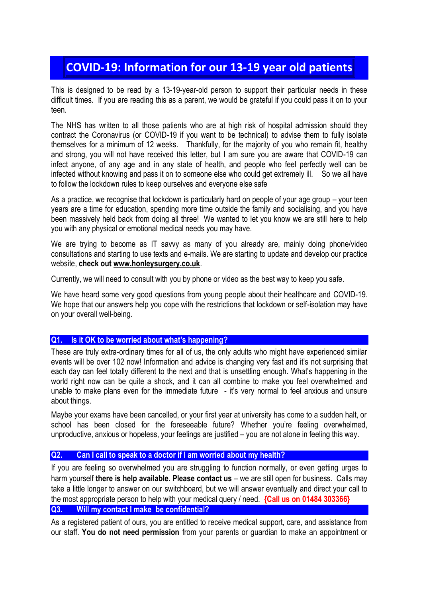# **COVID-19: Information for our 13-19 year old patients**

This is designed to be read by a 13-19-year-old person to support their particular needs in these difficult times. If you are reading this as a parent, we would be grateful if you could pass it on to your teen.

The NHS has written to all those patients who are at high risk of hospital admission should they contract the Coronavirus (or COVID-19 if you want to be technical) to advise them to fully isolate themselves for a minimum of 12 weeks. Thankfully, for the majority of you who remain fit, healthy and strong, you will not have received this letter, but I am sure you are aware that COVID-19 can infect anyone, of any age and in any state of health, and people who feel perfectly well can be infected without knowing and pass it on to someone else who could get extremely ill. So we all have to follow the lockdown rules to keep ourselves and everyone else safe

As a practice, we recognise that lockdown is particularly hard on people of your age group – your teen years are a time for education, spending more time outside the family and socialising, and you have been massively held back from doing all three! We wanted to let you know we are still here to help you with any physical or emotional medical needs you may have.

We are trying to become as IT savvy as many of you already are, mainly doing phone/video consultations and starting to use texts and e-mails. We are starting to update and develop our practice website, **check out [www.honleysurgery.co.uk](http://www.honleysurgery.co.uk/)**.

Currently, we will need to consult with you by phone or video as the best way to keep you safe.

We have heard some very good questions from young people about their healthcare and COVID-19. We hope that our answers help you cope with the restrictions that lockdown or self-isolation may have on your overall well-being.

#### **Q1. Is it OK to be worried about what's happening?**

These are truly extra-ordinary times for all of us, the only adults who might have experienced similar events will be over 102 now! Information and advice is changing very fast and it's not surprising that each day can feel totally different to the next and that is unsettling enough. What's happening in the world right now can be quite a shock, and it can all combine to make you feel overwhelmed and unable to make plans even for the immediate future - it's very normal to feel anxious and unsure about things.

Maybe your exams have been cancelled, or your first year at university has come to a sudden halt, or school has been closed for the foreseeable future? Whether you're feeling overwhelmed, unproductive, anxious or hopeless, your feelings are justified – you are not alone in feeling this way.

### **Q2. Can I call to speak to a doctor if I am worried about my health?**

If you are feeling so overwhelmed you are struggling to function normally, or even getting urges to harm yourself **there is help available. Please contact us** – we are still open for business. Calls may take a little longer to answer on our switchboard, but we will answer eventually and direct your call to the most appropriate person to help with your medical query / need. **{Call us on 01484 303366} Q3. Will my contact I make be confidential?**

As a registered patient of ours, you are entitled to receive medical support, care, and assistance from our staff. **You do not need permission** from your parents or guardian to make an appointment or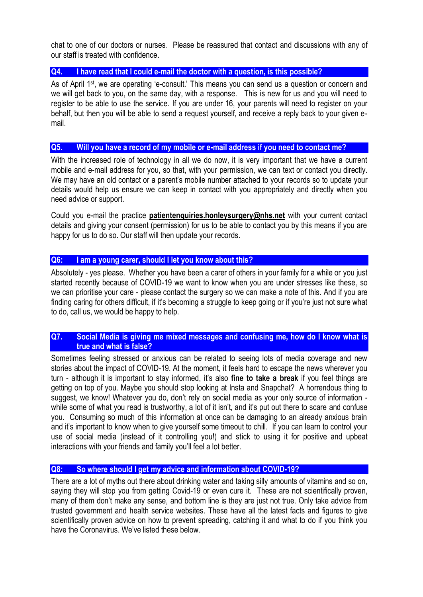chat to one of our doctors or nurses. Please be reassured that contact and discussions with any of our staff is treated with confidence.

### **Q4. I have read that I could e-mail the doctor with a question, is this possible?**

As of April 1<sup>st</sup>, we are operating 'e-consult.' This means you can send us a question or concern and we will get back to you, on the same day, with a response. This is new for us and you will need to register to be able to use the service. If you are under 16, your parents will need to register on your behalf, but then you will be able to send a request yourself, and receive a reply back to your given email.

#### **Q5. Will you have a record of my mobile or e-mail address if you need to contact me?**

With the increased role of technology in all we do now, it is very important that we have a current mobile and e-mail address for you, so that, with your permission, we can text or contact you directly. We may have an old contact or a parent's mobile number attached to your records so to update your details would help us ensure we can keep in contact with you appropriately and directly when you need advice or support.

Could you e-mail the practice **[patientenquiries.honleysurgery@nhs.net](mailto:patientenquiries.honleysurgery@nhs.net)** with your current contact details and giving your consent (permission) for us to be able to contact you by this means if you are happy for us to do so. Our staff will then update your records.

#### **Q6: I am a young carer, should I let you know about this?**

Absolutely - yes please. Whether you have been a carer of others in your family for a while or you just started recently because of COVID-19 we want to know when you are under stresses like these, so we can prioritise your care - please contact the surgery so we can make a note of this. And if you are finding caring for others difficult, if it's becoming a struggle to keep going or if you're just not sure what to do, call us, we would be happy to help.

### **Q7. Social Media is giving me mixed messages and confusing me, how do I know what is true and what is false?**

Sometimes feeling stressed or anxious can be related to seeing lots of media coverage and new stories about the impact of COVID-19. At the moment, it feels hard to escape the news wherever you turn - although it is important to stay informed, it's also **fine to take a break** if you feel things are getting on top of you. Maybe you should stop looking at Insta and Snapchat? A horrendous thing to suggest, we know! Whatever you do, don't rely on social media as your only source of information while some of what you read is trustworthy, a lot of it isn't, and it's put out there to scare and confuse you. Consuming so much of this information at once can be damaging to an already anxious brain and it's important to know when to give yourself some timeout to chill. If you can learn to control your use of social media (instead of it controlling you!) and stick to using it for positive and upbeat interactions with your friends and family you'll feel a lot better.

### **Q8: So where should I get my advice and information about COVID-19?**

There are a lot of myths out there about drinking water and taking silly amounts of vitamins and so on, saying they will stop you from getting Covid-19 or even cure it. These are not scientifically proven, many of them don't make any sense, and bottom line is they are just not true. Only take advice from trusted government and health service websites. These have all the latest facts and figures to give scientifically proven advice on how to prevent spreading, catching it and what to do if you think you have the Coronavirus. We've listed these below.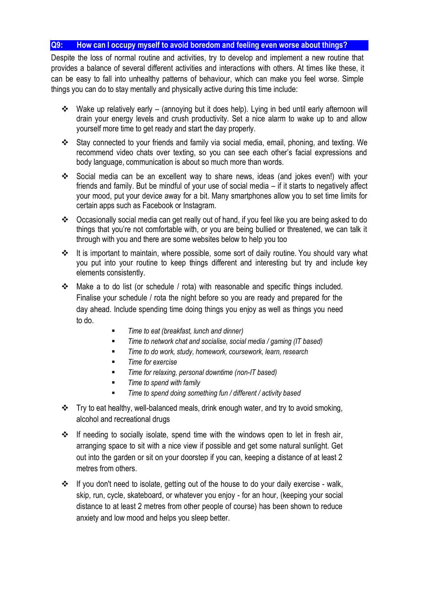### **Q9: How can I occupy myself to avoid boredom and feeling even worse about things?**

Despite the loss of normal routine and activities, try to develop and implement a new routine that provides a balance of several different activities and interactions with others. At times like these, it can be easy to fall into unhealthy patterns of behaviour, which can make you feel worse. Simple things you can do to stay mentally and physically active during this time include:

- Wake up relatively early (annoying but it does help). Lying in bed until early afternoon will drain your energy levels and crush productivity. Set a nice alarm to wake up to and allow yourself more time to get ready and start the day properly.
- Stay connected to your friends and family via social media, email, phoning, and texting. We recommend video chats over texting, so you can see each other's facial expressions and body language, communication is about so much more than words.
- Social media can be an excellent way to share news, ideas (and jokes even!) with your friends and family. But be mindful of your use of social media – if it starts to negatively affect your mood, put your device away for a bit. Many smartphones allow you to set time limits for certain apps such as Facebook or Instagram.
- Occasionally social media can get really out of hand, if you feel like you are being asked to do things that you're not comfortable with, or you are being bullied or threatened, we can talk it through with you and there are some websites below to help you too
- It is important to maintain, where possible, some sort of daily routine. You should vary what you put into your routine to keep things different and interesting but try and include key elements consistently.
- Make a to do list (or schedule / rota) with reasonable and specific things included. Finalise your schedule / rota the night before so you are ready and prepared for the day ahead. Include spending time doing things you enjoy as well as things you need to do.
	- *Time to eat (breakfast, lunch and dinner)*
	- *Time to network chat and socialise, social media / gaming (IT based)*
	- *Time to do work, study, homework, coursework, learn, research*
	- *Time for exercise*
	- *Time for relaxing, personal downtime (non-IT based)*
	- *Time to spend with family*
	- *Time to spend doing something fun / different / activity based*
- $\cdot \cdot$  Try to eat healthy, well-balanced meals, drink enough water, and try to avoid smoking, alcohol and recreational drugs
- If needing to socially isolate, spend time with the windows open to let in fresh air, arranging space to sit with a nice view if possible and get some natural sunlight. Get out into the garden or sit on your doorstep if you can, keeping a distance of at least 2 metres from others.
- If you don't need to isolate, getting out of the house to do your daily exercise walk, skip, run, cycle, skateboard, or whatever you enjoy - for an hour, (keeping your social distance to at least 2 metres from other people of course) has been shown to reduce anxiety and low mood and helps you sleep better.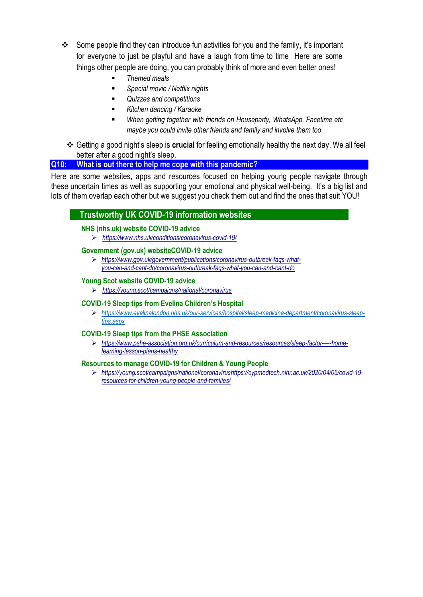- Some people find they can introduce fun activities for you and the family, it's important for everyone to just be playful and have a laugh from time to time Here are some things other people are doing, you can probably think of more and even better ones!
	- *Themed meals*
	- *Special movie / Netflix nights*
	- *Quizzes and competitions*
	- *Kitchen dancing / Karaoke*
	- *When getting together with friends on Houseparty, WhatsApp, Facetime etc maybe you could invite other friends and family and involve them too*
	- Getting a good night's sleep is **crucial** for feeling emotionally healthy the next day. We all feel better after a good night's sleep.

### **Q10: What is out there to help me cope with this pandemic?**

Here are some websites, apps and resources focused on helping young people navigate through these uncertain times as well as supporting your emotional and physical well-being. It's a big list and lots of them overlap each other but we suggest you check them out and find the ones that suit YOU!

### **Trustworthy UK COVID-19 information websites**

#### **NHS (nhs.uk) website COVID-19 advice**

*<https://www.nhs.uk/conditions/coronavirus-covid-19/>*

#### **Government (gov.uk) websiteCOVID-19 advice**

 *[https://www.gov.uk/government/publications/coronavirus-outbreak-faqs-what](https://www.gov.uk/government/publications/coronavirus-outbreak-faqs-what-you-can-and-cant-do/coronavirus-outbreak-faqs-what-you-can-and-cant-do)[you-can-and-cant-do/coronavirus-outbreak-faqs-what-you-can-and-cant-do](https://www.gov.uk/government/publications/coronavirus-outbreak-faqs-what-you-can-and-cant-do/coronavirus-outbreak-faqs-what-you-can-and-cant-do)*

#### **Young Scot website COVID-19 advice**

*<https://young.scot/campaigns/national/coronavirus>*

#### **COVID-19 Sleep tips from Evelina Children's Hospital**

 *[https://www.evelinalondon.nhs.uk/our-services/hospital/sleep-medicine-department/coronavirus-sleep](https://www.evelinalondon.nhs.uk/our-services/hospital/sleep-medicine-department/coronavirus-sleep-tips.aspx)[tips.aspx](https://www.evelinalondon.nhs.uk/our-services/hospital/sleep-medicine-department/coronavirus-sleep-tips.aspx)*

#### **COVID-19 Sleep tips from the PHSE Association**

 *[https://www.pshe-association.org.uk/curriculum-and-resources/resources/sleep-factor-](https://www.pshe-association.org.uk/curriculum-and-resources/resources/sleep-factor-%E2%80%94-home-learning-lesson-plans-healthy)—-home[learning-lesson-plans-healthy](https://www.pshe-association.org.uk/curriculum-and-resources/resources/sleep-factor-%E2%80%94-home-learning-lesson-plans-healthy)*

#### **Resources to manage COVID-19 for Children & Young People**

 *https://young.scot/campaigns/national/coronaviru[shttps://cypmedtech.nihr.ac.uk/2020/04/06/covid-19](https://cypmedtech.nihr.ac.uk/2020/04/06/covid-19-resources-for-children-young-people-and-families/) [resources-for-children-young-people-and-families/](https://cypmedtech.nihr.ac.uk/2020/04/06/covid-19-resources-for-children-young-people-and-families/)*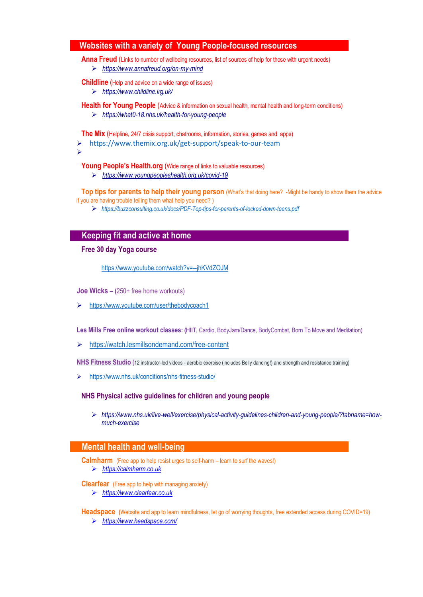### **Websites with a variety of Young People-focused resources**

**Anna Freud** (Links to number of wellbeing resources, list of sources of help for those with urgent needs)

*<https://www.annafreud.org/on-my-mind>*

**Childline** (Help and advice on a wide range of issues)

*<https://www.childline.irg.uk/>*

**Health for Young People** (Advice & information on sexual health, mental health and long-term conditions)

*<https://what0-18.nhs.uk/health-for-young-people>*

**The Mix** (Helpline, 24/7 crisis support, chatrooms, information, stories, games and apps)

<https://www.themix.org.uk/get-support/speak-to-our-team>

 $\blacktriangleright$ 

**Young People's Health.org** (Wide range of links to valuable resources)

*<https://www.youngpeopleshealth.org.uk/covid-19>*

**Top tips for parents to help their young person** (What's that doing here? -Might be handy to show them the advice if you are having trouble telling them what help you need? )

*<https://buzzconsulting.co.uk/docs/PDF-Top-tips-for-parents-of-locked-down-teens.pdf>*

### **Keeping fit and active at home**

#### **Free 30 day Yoga course**

<https://www.youtube.com/watch?v=--jhKVdZOJM>

**Joe Wicks – (**250+ free home workouts)

<https://www.youtube.com/user/thebodycoach1>

**Les Mills Free online workout classes: (**HIIT, Cardio, BodyJam/Dance, BodyCombat, Born To Move and Meditation)

<https://watch.lesmillsondemand.com/free-content>

**NHS Fitness Studio** (12 instructor-led videos - aerobic exercise (includes Belly dancing!) and strength and resistance training)

<https://www.nhs.uk/conditions/nhs-fitness-studio/>

#### **NHS Physical active guidelines for children and young people**

 *[https://www.nhs.uk/live-well/exercise/physical-activity-guidelines-children-and-young-people/?tabname=how](https://www.nhs.uk/live-well/exercise/physical-activity-guidelines-children-and-young-people/?tabname=how-much-exercise)[much-exercise](https://www.nhs.uk/live-well/exercise/physical-activity-guidelines-children-and-young-people/?tabname=how-much-exercise)*

#### **Mental health and well-being**

**Calmharm** (Free app to help resist urges to self-harm – learn to surf the waves!) *[https://calmharm.co.uk](https://calmharm.co.uk/)*

**Clearfear** (Free app to help with managing anxiety)

*[https://www.clearfear.co.uk](https://www.clearfear.co.uk/)*

**Headspace (**Website and app to learn mindfulness, let go of worrying thoughts, free extended access during COVID=19) *<https://www.headspace.com/>*